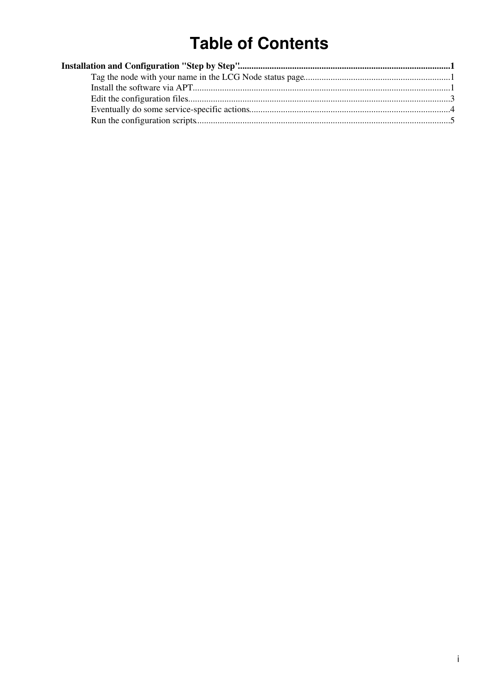# **Table of Contents**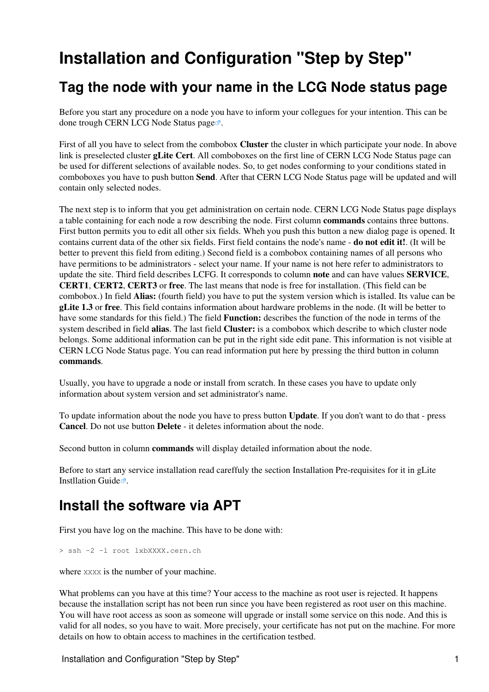## <span id="page-1-0"></span>**Installation and Configuration "Step by Step"**

### <span id="page-1-1"></span>**Tag the node with your name in the LCG Node status page**

Before you start any procedure on a node you have to inform your collegues for your intention. This can be done trough [CERN LCG Node Status page](https://lcg-nodes-status.cern.ch:8282/cgi-bin/nodes-status.cgi?details=on&order=host&admin_view=all&cluster_view=gLite+Cert)  $\mathbb{Z}$ .

First of all you have to select from the combobox **Cluster** the cluster in which participate your node. In above link is preselected cluster **gLite Cert**. All comboboxes on the first line of CERN LCG Node Status page can be used for different selections of available nodes. So, to get nodes conforming to your conditions stated in comboboxes you have to push button **Send**. After that CERN LCG Node Status page will be updated and will contain only selected nodes.

The next step is to inform that you get administration on certain node. CERN LCG Node Status page displays a table containing for each node a row describing the node. First column **commands** contains three buttons. First button permits you to edit all other six fields. Wheh you push this button a new dialog page is opened. It contains current data of the other six fields. First field contains the node's name - **do not edit it!**. (It will be better to prevent this field from editing.) Second field is a combobox containing names of all persons who have permitions to be administrators - select your name. If your name is not here refer to administrators to update the site. Third field describes LCFG. It corresponds to column **note** and can have values **SERVICE**, **CERT1**, **CERT2**, **CERT3** or **free**. The last means that node is free for installation. (This field can be combobox.) In field **Alias:** (fourth field) you have to put the system version which is istalled. Its value can be **gLite 1.3** or **free**. This field contains information about hardware problems in the node. (It will be better to have some standards for this field.) The field **Function:** describes the function of the node in terms of the system described in field **alias**. The last field **Cluster:** is a combobox which describe to which cluster node belongs. Some additional information can be put in the right side edit pane. This information is not visible at CERN LCG Node Status page. You can read information put here by pressing the third button in column **commands**.

Usually, you have to upgrade a node or install from scratch. In these cases you have to update only information about system version and set administrator's name.

To update information about the node you have to press button **Update**. If you don't want to do that - press **Cancel**. Do not use button **Delete** - it deletes information about the node.

Second button in column **commands** will display detailed information about the node.

Before to start any service installation read careffuly the section Installation Pre-requisites for it in [gLite](http://glite.web.cern.ch/glite/packages/R1.3/R20050805/doc/installation_guide.html) Instillation Guide $\vec{r}$ .

### <span id="page-1-2"></span>**Install the software via APT**

First you have log on the machine. This have to be done with:

> ssh -2 -l root lxbXXXX.cern.ch

where *XXXX* is the number of your machine.

What problems can you have at this time? Your access to the machine as root user is rejected. It happens because the installation script has not been run since you have been registered as root user on this machine. You will have root access as soon as someone will upgrade or install some service on this node. And this is valid for all nodes, so you have to wait. More precisely, your certificate has not put on the machine. [For more](https://twiki.cern.ch/twiki/bin/view/LCG/ToStart#LogTo) [details on how to obtain access to machines in the certification testbed.](https://twiki.cern.ch/twiki/bin/view/LCG/ToStart#LogTo)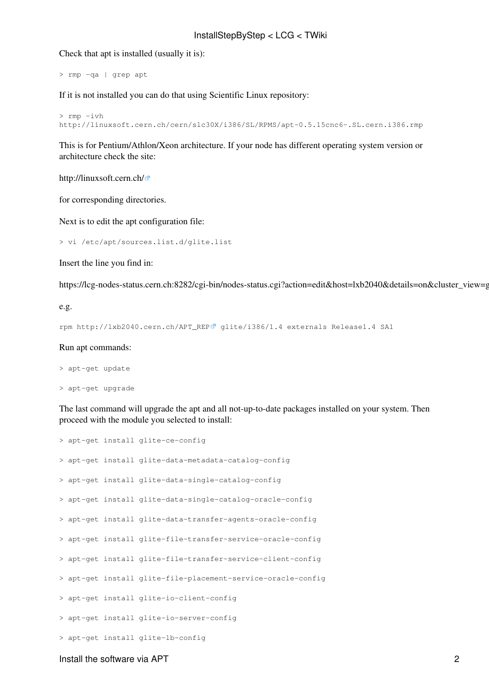#### InstallStepByStep < LCG < TWiki

Check that apt is installed (usually it is):

> rmp -qa | grep apt

If it is not installed you can do that using Scientific Linux repository:

```
> rmp -ivh
http://linuxsoft.cern.ch/cern/slc30X/i386/SL/RPMS/apt-0.5.15cnc6-.SL.cern.i386.rmp
```
This is for Pentium/Athlon/Xeon architecture. If your node has different operating system version or architecture check the site:

<http://linuxsoft.cern.ch/>

for corresponding directories.

Next is to edit the apt configuration file:

> vi /etc/apt/sources.list.d/glite.list

Insert the line you find in:

https://lcg-nodes-status.cern.ch:8282/cgi-bin/nodes-status.cgi?action=edit&host=lxb2040&details=on&cluster\_view=g

e.g.

```
rpm http://lxb2040.cern.ch/APT_REP glite/i386/1.4 externals Release1.4 SA1
```
#### Run apt commands:

> apt-get update

> apt-get upgrade

The last command will upgrade the apt and all not-up-to-date packages installed on your system. Then proceed with the module you selected to install:

|  | > apt-get install glite-ce-config                            |
|--|--------------------------------------------------------------|
|  | > apt-get install glite-data-metadata-catalog-config         |
|  | > apt-get install glite-data-single-catalog-config           |
|  | > apt-get install glite-data-single-catalog-oracle-config    |
|  | > apt-get install glite-data-transfer-agents-oracle-config   |
|  | > apt-get install glite-file-transfer-service-oracle-config  |
|  | > apt-get install glite-file-transfer-service-client-config  |
|  | > apt-get install glite-file-placement-service-oracle-config |
|  | > apt-get install glite-io-client-config                     |
|  | > apt-get install glite-io-server-config                     |
|  | > apt-get install glite-lb-config                            |

#### Install the software via APT 2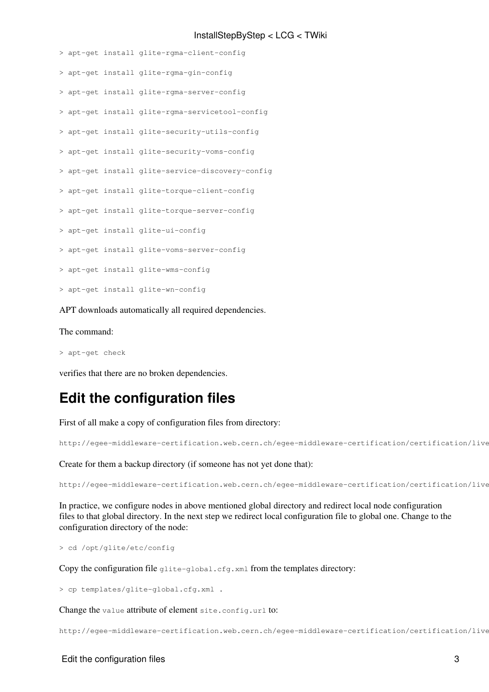#### InstallStepByStep < LCG < TWiki

```
> apt-get install glite-rgma-client-config
```
- > apt-get install glite-rgma-gin-config
- > apt-get install glite-rgma-server-config
- > apt-get install glite-rgma-servicetool-config
- > apt-get install glite-security-utils-config
- > apt-get install glite-security-voms-config
- > apt-get install glite-service-discovery-config
- > apt-get install glite-torque-client-config
- > apt-get install glite-torque-server-config
- > apt-get install glite-ui-config
- > apt-get install glite-voms-server-config
- > apt-get install glite-wms-config
- > apt-get install glite-wn-config

APT downloads automatically all required dependencies.

The command:

> apt-get check

verifies that there are no broken dependencies.

### <span id="page-3-0"></span>**Edit the configuration files**

First of all make a copy of configuration files from directory:

http://egee-middleware-certification.web.cern.ch/egee-middleware-certification/certification/live

Create for them a backup directory (if someone has not yet done that):

```
http://egee-middleware-certification.web.cern.ch/egee-middleware-certification/certification/live
```
In practice, we configure nodes in above mentioned global directory and redirect local node configuration files to that global directory. In the next step we redirect local configuration file to global one. Change to the configuration directory of the node:

> cd /opt/glite/etc/config

Copy the configuration file glite-global.cfg.xml from the templates directory:

> cp templates/glite-global.cfg.xml .

Change the value attribute of element site.config.url to:

http://egee-middleware-certification.web.cern.ch/egee-middleware-certification/certification/live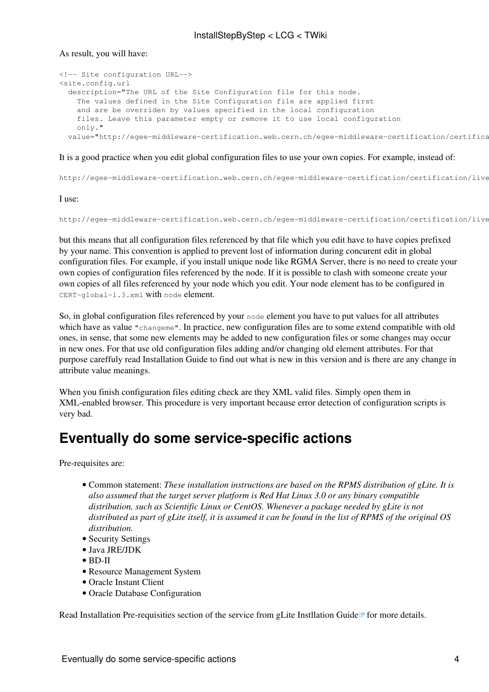As result, you will have:

```
<!-- Site configuration URL-->
<site.config.url
  description="The URL of the Site Configuration file for this node.
    The values defined in the Site Configuration file are applied first
     and are be overriden by values specified in the local configuration
     files. Leave this parameter empty or remove it to use local configuration
    only."
 value="http://eqee-middleware-certification.web.cern.ch/eqee-middleware-certification/certifica
```
#### It is a good practice when you edit global configuration files to use your own copies. For example, instead of:

http://egee-middleware-certification.web.cern.ch/egee-middleware-certification/certification/live

I use:

```
http://egee-middleware-certification.web.cern.ch/egee-middleware-certification/certification/live
```
but this means that all configuration files referenced by that file which you edit have to have copies prefixed by your name. This convention is applied to prevent lost of information during concurent edit in global configuration files. For example, if you install unique node like RGMA Server, there is no need to create your own copies of configuration files referenced by the node. If it is possible to clash with someone create your own copies of all files referenced by your node which you edit. Your node element has to be configured in CERT-global-1.3.xml with node element.

So, in global configuration files referenced by your node element you have to put values for all attributes which have as value "changeme". In practice, new configuration files are to some extend compatible with old ones, in sense, that some new elements may be added to new configuration files or some changes may occur in new ones. For that use old configuration files adding and/or changing old element attributes. For that purpose careffuly read Installation Guide to find out what is new in this version and is there are any change in attribute value meanings.

When you finish configuration files editing check are they XML valid files. Simply open them in XML-enabled browser. This procedure is very important because error detection of configuration scripts is very bad.

### <span id="page-4-0"></span>**Eventually do some service-specific actions**

Pre-requisites are:

- Common statement: *These installation instructions are based on the RPMS distribution of gLite. It is also assumed that the target server platform is Red Hat Linux 3.0 or any binary compatible distribution, such as Scientific Linux or CentOS. Whenever a package needed by gLite is not distributed as part of gLite itself, it is assumed it can be found in the list of RPMS of the original OS distribution.*
- Security Settings
- Java JRE/JDK
- BD-II
- Resource Management System
- Oracle Instant Client
- Oracle Database Configuration

Read Installation Pre-requisities section of the service from gLite Instillation Guide<sup>n</sup> for more details.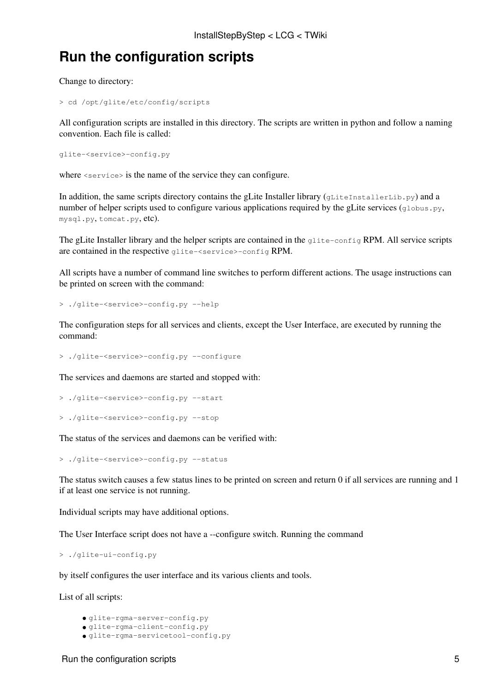## <span id="page-5-0"></span>**Run the configuration scripts**

Change to directory:

> cd /opt/glite/etc/config/scripts

All configuration scripts are installed in this directory. The scripts are written in python and follow a naming convention. Each file is called:

```
glite-<service>-config.py
```
where  $\langle$ service> is the name of the service they can configure.

In addition, the same scripts directory contains the gLite Installer library (gLiteInstallerLib.py) and a number of helper scripts used to configure various applications required by the gLite services (globus.py, mysql.py, tomcat.py, etc).

The gLite Installer library and the helper scripts are contained in the glite-config RPM. All service scripts are contained in the respective glite-<service>-config RPM.

All scripts have a number of command line switches to perform different actions. The usage instructions can be printed on screen with the command:

> ./glite-<service>-config.py --help

The configuration steps for all services and clients, except the User Interface, are executed by running the command:

> ./glite-<service>-config.py --configure

The services and daemons are started and stopped with:

> ./glite-<service>-config.py --start

> ./glite-<service>-config.py --stop

The status of the services and daemons can be verified with:

> ./glite-<service>-config.py --status

The status switch causes a few status lines to be printed on screen and return 0 if all services are running and 1 if at least one service is not running.

Individual scripts may have additional options.

The User Interface script does not have a --configure switch. Running the command

> ./glite-ui-config.py

by itself configures the user interface and its various clients and tools.

List of all scripts:

• glite-rgma-server-config.py • glite-rgma-client-config.py

• glite-rgma-servicetool-config.py